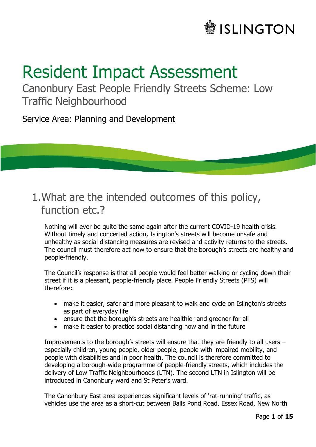# **SLINGTON**

# Resident Impact Assessment

Canonbury East People Friendly Streets Scheme: Low Traffic Neighbourhood

Service Area: Planning and Development

# 1.What are the intended outcomes of this policy, function etc.?

Nothing will ever be quite the same again after the current COVID-19 health crisis. Without timely and concerted action, Islington's streets will become unsafe and unhealthy as social distancing measures are revised and activity returns to the streets. The council must therefore act now to ensure that the borough's streets are healthy and people-friendly.

The Council's response is that all people would feel better walking or cycling down their street if it is a pleasant, people-friendly place. People Friendly Streets (PFS) will therefore:

- make it easier, safer and more pleasant to walk and cycle on Islington's streets as part of everyday life
- ensure that the borough's streets are healthier and greener for all
- make it easier to practice social distancing now and in the future

Improvements to the borough's streets will ensure that they are friendly to all users – especially children, young people, older people, people with impaired mobility, and people with disabilities and in poor health. The council is therefore committed to developing a borough-wide programme of people-friendly streets, which includes the delivery of Low Traffic Neighbourhoods (LTN). The second LTN in Islington will be introduced in Canonbury ward and St Peter's ward.

The Canonbury East area experiences significant levels of 'rat-running' traffic, as vehicles use the area as a short-cut between Balls Pond Road, Essex Road, New North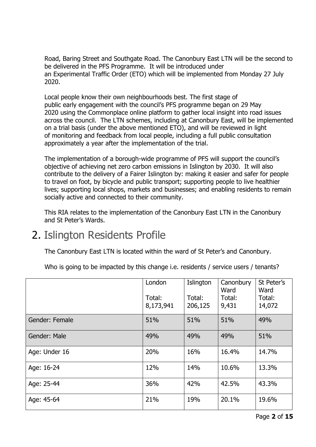Road, Baring Street and Southgate Road. The Canonbury East LTN will be the second to be delivered in the PFS Programme. It will be introduced under an Experimental Traffic Order (ETO) which will be implemented from Monday 27 July 2020.

Local people know their own neighbourhoods best. The first stage of public early engagement with the council's PFS programme began on 29 May 2020 using the Commonplace online platform to gather local insight into road issues across the council. The LTN schemes, including at Canonbury East, will be implemented on a trial basis (under the above mentioned ETO), and will be reviewed in light of monitoring and feedback from local people, including a full public consultation approximately a year after the implementation of the trial.

The implementation of a borough-wide programme of PFS will support the council's objective of achieving net zero carbon emissions in Islington by 2030. It will also contribute to the delivery of a Fairer Islington by: making it easier and safer for people to travel on foot, by bicycle and public transport; supporting people to live healthier lives; supporting local shops, markets and businesses; and enabling residents to remain socially active and connected to their community.

This RIA relates to the implementation of the Canonbury East LTN in the Canonbury and St Peter's Wards.

# 2. Islington Residents Profile

The Canonbury East LTN is located within the ward of St Peter's and Canonbury.

Who is going to be impacted by this change i.e. residents / service users / tenants?

|                | London<br>Total:<br>8,173,941 | Islington<br>Total:<br>206,125 | Canonbury<br>Ward<br>Total:<br>9,431 | St Peter's<br>Ward<br>Total:<br>14,072 |
|----------------|-------------------------------|--------------------------------|--------------------------------------|----------------------------------------|
| Gender: Female | 51%                           | 51%                            | 51%                                  | 49%                                    |
| Gender: Male   | 49%                           | 49%                            | 49%                                  | 51%                                    |
| Age: Under 16  | 20%                           | 16%                            | 16.4%                                | 14.7%                                  |
| Age: 16-24     | 12%                           | 14%                            | 10.6%                                | 13.3%                                  |
| Age: 25-44     | 36%                           | 42%                            | 42.5%                                | 43.3%                                  |
| Age: 45-64     | 21%                           | 19%                            | 20.1%                                | 19.6%                                  |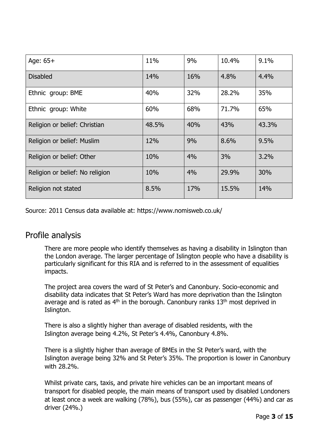| Age: $65+$                      | 11%   | 9%  | 10.4% | 9.1%  |
|---------------------------------|-------|-----|-------|-------|
| <b>Disabled</b>                 | 14%   | 16% | 4.8%  | 4.4%  |
| Ethnic group: BME               | 40%   | 32% | 28.2% | 35%   |
| Ethnic group: White             | 60%   | 68% | 71.7% | 65%   |
| Religion or belief: Christian   | 48.5% | 40% | 43%   | 43.3% |
| Religion or belief: Muslim      | 12%   | 9%  | 8.6%  | 9.5%  |
| Religion or belief: Other       | 10%   | 4%  | 3%    | 3.2%  |
| Religion or belief: No religion | 10%   | 4%  | 29.9% | 30%   |
| Religion not stated             | 8.5%  | 17% | 15.5% | 14%   |

Source: 2011 Census data available at:<https://www.nomisweb.co.uk/>

#### Profile analysis

There are more people who identify themselves as having a disability in Islington than the London average. The larger percentage of Islington people who have a disability is particularly significant for this RIA and is referred to in the assessment of equalities impacts.

The project area covers the ward of St Peter's and Canonbury. Socio-economic and disability data indicates that St Peter's Ward has more deprivation than the Islington average and is rated as  $4<sup>th</sup>$  in the borough. Canonbury ranks  $13<sup>th</sup>$  most deprived in Islington.

There is also a slightly higher than average of disabled residents, with the Islington average being 4.2%, St Peter's 4.4%, Canonbury 4.8%.

There is a slightly higher than average of BMEs in the St Peter's ward, with the Islington average being 32% and St Peter's 35%. The proportion is lower in Canonbury with 28.2%.

Whilst private cars, taxis, and private hire vehicles can be an important means of transport for disabled people, the main means of transport used by disabled Londoners at least once a week are walking (78%), bus (55%), car as passenger (44%) and car as driver (24%.)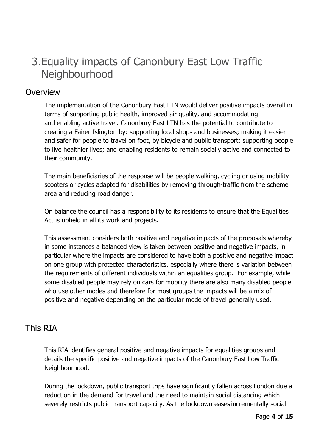# 3.Equality impacts of Canonbury East Low Traffic **Neighbourhood**

#### **Overview**

The implementation of the Canonbury East LTN would deliver positive impacts overall in terms of supporting public health, improved air quality, and accommodating and enabling active travel. Canonbury East LTN has the potential to contribute to creating a Fairer Islington by: supporting local shops and businesses; making it easier and safer for people to travel on foot, by bicycle and public transport; supporting people to live healthier lives; and enabling residents to remain socially active and connected to their community. 

The main beneficiaries of the response will be people walking, cycling or using mobility scooters or cycles adapted for disabilities by removing through-traffic from the scheme area and reducing road danger.

On balance the council has a responsibility to its residents to ensure that the Equalities Act is upheld in all its work and projects.

This assessment considers both positive and negative impacts of the proposals whereby in some instances a balanced view is taken between positive and negative impacts, in particular where the impacts are considered to have both a positive and negative impact on one group with protected characteristics, especially where there is variation between the requirements of different individuals within an equalities group. For example, while some disabled people may rely on cars for mobility there are also many disabled people who use other modes and therefore for most groups the impacts will be a mix of positive and negative depending on the particular mode of travel generally used.

# This RIA

This RIA identifies general positive and negative impacts for equalities groups and details the specific positive and negative impacts of the Canonbury East Low Traffic Neighbourhood.

During the lockdown, public transport trips have significantly fallen across London due a reduction in the demand for travel and the need to maintain social distancing which severely restricts public transport capacity. As the lockdown eases incrementally social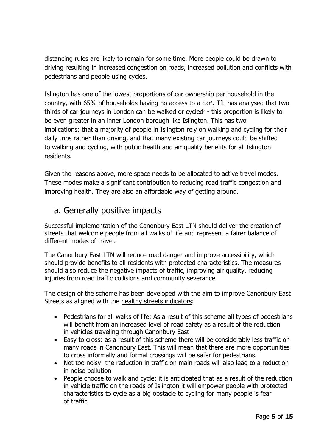distancing rules are likely to remain for some time. More people could be drawn to driving resulting in increased congestion on roads, increased pollution and conflicts with pedestrians and people using cycles.

Islington has one of the lowest proportions of car ownership per household in the country, with 65% of households having no access to a car<sup>1</sup>. TfL has analysed that two thirds of car journeys in London can be walked or cycled<sup>2</sup> - this proportion is likely to be even greater in an inner London borough like Islington. This has two implications: that a majority of people in Islington rely on walking and cycling for their daily trips rather than driving, and that many existing car journeys could be shifted to walking and cycling, with public health and air quality benefits for all Islington residents.

Given the reasons above, more space needs to be allocated to active travel modes. These modes make a significant contribution to reducing road traffic congestion and improving health. They are also an affordable way of getting around.

# a. Generally positive impacts

Successful implementation of the Canonbury East LTN should deliver the creation of streets that welcome people from all walks of life and represent a fairer balance of different modes of travel.

The Canonbury East LTN will reduce road danger and improve accessibility, which should provide benefits to all residents with protected characteristics. The measures should also reduce the negative impacts of traffic, improving air quality, reducing injuries from road traffic collisions and community severance.

The design of the scheme has been developed with the aim to improve Canonbury East Streets as aligned with the [healthy streets indicators:](https://tfl.gov.uk/corporate/about-tfl/how-we-work/planning-for-the-future/healthy-streets)

- Pedestrians for all walks of life: As a result of this scheme all types of pedestrians will benefit from an increased level of road safety as a result of the reduction in vehicles traveling through Canonbury East
- Easy to cross: as a result of this scheme there will be considerably less traffic on many roads in Canonbury East. This will mean that there are more opportunities to cross informally and formal crossings will be safer for pedestrians.
- Not too noisy: the reduction in traffic on main roads will also lead to a reduction in noise pollution
- People choose to walk and cycle: it is anticipated that as a result of the reduction in vehicle traffic on the roads of Islington it will empower people with protected characteristics to cycle as a big obstacle to cycling for many people is fear of traffic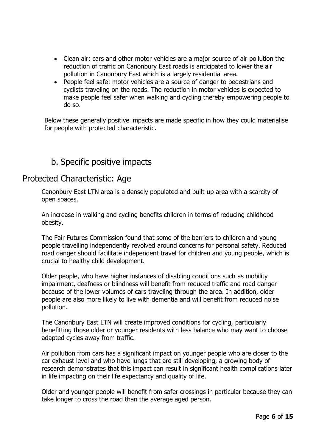- Clean air: cars and other motor vehicles are a major source of air pollution the reduction of traffic on Canonbury East roads is anticipated to lower the air pollution in Canonbury East which is a largely residential area.
- People feel safe: motor vehicles are a source of danger to pedestrians and cyclists traveling on the roads. The reduction in motor vehicles is expected to make people feel safer when walking and cycling thereby empowering people to do so.

Below these generally positive impacts are made specific in how they could materialise for people with protected characteristic.

# b. Specific positive impacts

#### Protected Characteristic: Age

Canonbury East LTN area is a densely populated and built-up area with a scarcity of open spaces.

An increase in walking and cycling benefits children in terms of reducing childhood obesity.

The Fair Futures Commission found that some of the barriers to children and young people travelling independently revolved around concerns for personal safety. Reduced road danger should facilitate independent travel for children and young people, which is crucial to healthy child development.

Older people, who have higher instances of disabling conditions such as mobility impairment, deafness or blindness will benefit from reduced traffic and road danger because of the lower volumes of cars traveling through the area. In addition, older people are also more likely to live with dementia and will benefit from reduced noise pollution.

The Canonbury East LTN will create improved conditions for cycling, particularly benefitting those older or younger residents with less balance who may want to choose adapted cycles away from traffic.

Air pollution from cars has a significant impact on younger people who are closer to the car exhaust level and who have lungs that are still developing, a growing body of research demonstrates that this impact can result in significant health complications later in life impacting on their life expectancy and quality of life.

Older and younger people will benefit from safer crossings in particular because they can take longer to cross the road than the average aged person.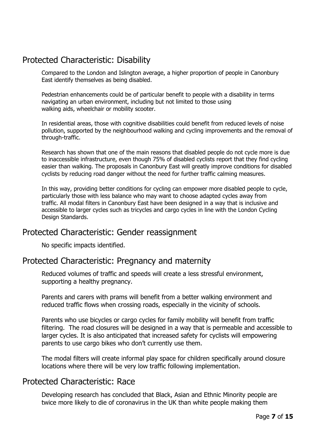# Protected Characteristic: Disability

Compared to the London and Islington average, a higher proportion of people in Canonbury East identify themselves as being disabled.

Pedestrian enhancements could be of particular benefit to people with a disability in terms navigating an urban environment, including but not limited to those using walking aids, wheelchair or mobility scooter.

In residential areas, those with cognitive disabilities could benefit from reduced levels of noise pollution, supported by the neighbourhood walking and cycling improvements and the removal of through-traffic.

Research has shown that one of the main reasons that disabled people do not cycle more is due to inaccessible infrastructure, even though 75% of disabled cyclists report that they find cycling easier than walking. The proposals in Canonbury East will greatly improve conditions for disabled cyclists by reducing road danger without the need for further traffic calming measures.

In this way, providing better conditions for cycling can empower more disabled people to cycle, particularly those with less balance who may want to choose adapted cycles away from traffic. All modal filters in Canonbury East have been designed in a way that is inclusive and accessible to larger cycles such as tricycles and cargo cycles in line with the London Cycling Design Standards.

#### Protected Characteristic: Gender reassignment

No specific impacts identified.

#### Protected Characteristic: Pregnancy and maternity

Reduced volumes of traffic and speeds will create a less stressful environment, supporting a healthy pregnancy.

Parents and carers with prams will benefit from a better walking environment and reduced traffic flows when crossing roads, especially in the vicinity of schools.

Parents who use bicycles or cargo cycles for family mobility will benefit from traffic filtering. The road closures will be designed in a way that is permeable and accessible to larger cycles. It is also anticipated that increased safety for cyclists will empowering parents to use cargo bikes who don't currently use them.

The modal filters will create informal play space for children specifically around closure locations where there will be very low traffic following implementation.

#### Protected Characteristic: Race

Developing research has concluded that Black, Asian and Ethnic Minority people are twice more likely to die of coronavirus in the UK than white people making them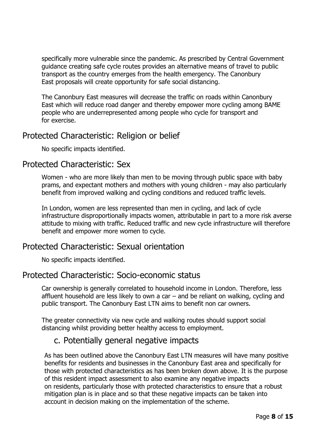specifically more vulnerable since the pandemic. As prescribed by Central Government guidance creating safe cycle routes provides an alternative means of travel to public transport as the country emerges from the health emergency. The Canonbury East proposals will create opportunity for safe social distancing.

The Canonbury East measures will decrease the traffic on roads within Canonbury East which will reduce road danger and thereby empower more cycling among BAME people who are underrepresented among people who cycle for transport and for exercise.

#### Protected Characteristic: Religion or belief

No specific impacts identified.

#### Protected Characteristic: Sex

Women - who are more likely than men to be moving through public space with baby prams, and expectant mothers and mothers with young children - may also particularly benefit from improved walking and cycling conditions and reduced traffic levels.

In London, women are less represented than men in cycling, and lack of cycle infrastructure disproportionally impacts women, attributable in part to a more risk averse attitude to mixing with traffic. Reduced traffic and new cycle infrastructure will therefore benefit and empower more women to cycle.

#### Protected Characteristic: Sexual orientation

No specific impacts identified.

#### Protected Characteristic: Socio-economic status

Car ownership is generally correlated to household income in London. Therefore, less affluent household are less likely to own a car – and be reliant on walking, cycling and public transport. The Canonbury East LTN aims to benefit non car owners.

The greater connectivity via new cycle and walking routes should support social distancing whilst providing better healthy access to employment.

#### c. Potentially general negative impacts

As has been outlined above the Canonbury East LTN measures will have many positive benefits for residents and businesses in the Canonbury East area and specifically for those with protected characteristics as has been broken down above. It is the purpose of this resident impact assessment to also examine any negative impacts on residents, particularly those with protected characteristics to ensure that a robust mitigation plan is in place and so that these negative impacts can be taken into account in decision making on the implementation of the scheme.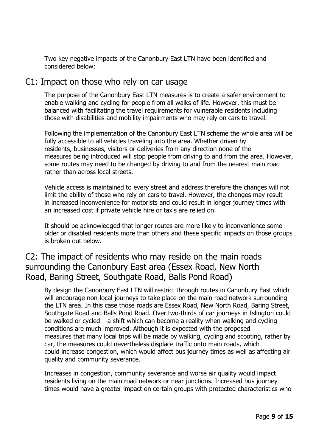Two key negative impacts of the Canonbury East LTN have been identified and considered below:

#### C1: Impact on those who rely on car usage

The purpose of the Canonbury East LTN measures is to create a safer environment to enable walking and cycling for people from all walks of life. However, this must be balanced with facilitating the travel requirements for vulnerable residents including those with disabilities and mobility impairments who may rely on cars to travel.

Following the implementation of the Canonbury East LTN scheme the whole area will be fully accessible to all vehicles traveling into the area. Whether driven by residents, businesses, visitors or deliveries from any direction none of the measures being introduced will stop people from driving to and from the area. However, some routes may need to be changed by driving to and from the nearest main road rather than across local streets.

Vehicle access is maintained to every street and address therefore the changes will not limit the ability of those who rely on cars to travel. However, the changes may result in increased inconvenience for motorists and could result in longer journey times with an increased cost if private vehicle hire or taxis are relied on.

It should be acknowledged that longer routes are more likely to inconvenience some older or disabled residents more than others and these specific impacts on those groups is broken out below.

# C2: The impact of residents who may reside on the main roads surrounding the Canonbury East area (Essex Road, New North Road, Baring Street, Southgate Road, Balls Pond Road)

By design the Canonbury East LTN will restrict through routes in Canonbury East which will encourage non-local journeys to take place on the main road network surrounding the LTN area. In this case those roads are Essex Road, New North Road, Baring Street, Southgate Road and Balls Pond Road. Over two-thirds of car journeys in Islington could be walked or cycled – a shift which can become a reality when walking and cycling conditions are much improved. Although it is expected with the proposed measures that many local trips will be made by walking, cycling and scooting, rather by car, the measures could nevertheless displace traffic onto main roads, which could increase congestion, which would affect bus journey times as well as affecting air quality and community severance.

Increases in congestion, community severance and worse air quality would impact residents living on the main road network or near junctions. Increased bus journey times would have a greater impact on certain groups with protected characteristics who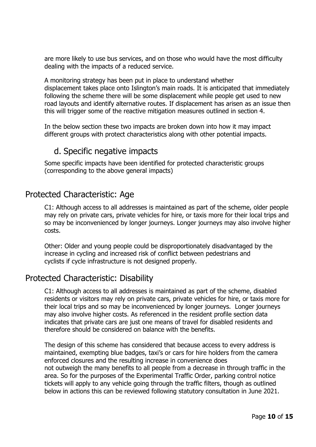are more likely to use bus services, and on those who would have the most difficulty dealing with the impacts of a reduced service.

A monitoring strategy has been put in place to understand whether displacement takes place onto Islington's main roads. It is anticipated that immediately following the scheme there will be some displacement while people get used to new road layouts and identify alternative routes. If displacement has arisen as an issue then this will trigger some of the reactive mitigation measures outlined in section 4.

In the below section these two impacts are broken down into how it may impact different groups with protect characteristics along with other potential impacts.

# d. Specific negative impacts

Some specific impacts have been identified for protected characteristic groups (corresponding to the above general impacts)

### Protected Characteristic: Age

C1: Although access to all addresses is maintained as part of the scheme, older people may rely on private cars, private vehicles for hire, or taxis more for their local trips and so may be inconvenienced by longer journeys. Longer journeys may also involve higher costs.

Other: Older and young people could be disproportionately disadvantaged by the increase in cycling and increased risk of conflict between pedestrians and cyclists if cycle infrastructure is not designed properly.

### Protected Characteristic: Disability

C1: Although access to all addresses is maintained as part of the scheme, disabled residents or visitors may rely on private cars, private vehicles for hire, or taxis more for their local trips and so may be inconvenienced by longer journeys. Longer journeys may also involve higher costs. As referenced in the resident profile section data indicates that private cars are just one means of travel for disabled residents and therefore should be considered on balance with the benefits.

The design of this scheme has considered that because access to every address is maintained, exempting blue badges, taxi's or cars for hire holders from the camera enforced closures and the resulting increase in convenience does not outweigh the many benefits to all people from a decrease in through traffic in the area. So for the purposes of the Experimental Traffic Order, parking control notice tickets will apply to any vehicle going through the traffic filters, though as outlined below in actions this can be reviewed following statutory consultation in June 2021.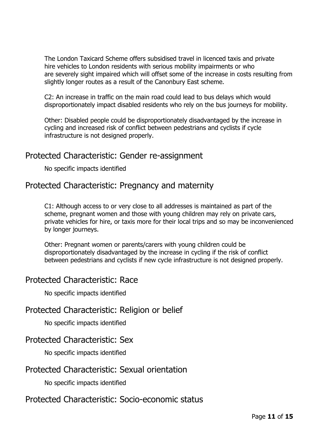The London Taxicard Scheme offers subsidised travel in licenced taxis and private hire vehicles to London residents with serious mobility impairments or who are severely sight impaired which will offset some of the increase in costs resulting from slightly longer routes as a result of the Canonbury East scheme.

C2: An increase in traffic on the main road could lead to bus delays which would disproportionately impact disabled residents who rely on the bus journeys for mobility.

Other: Disabled people could be disproportionately disadvantaged by the increase in cycling and increased risk of conflict between pedestrians and cyclists if cycle infrastructure is not designed properly.

#### Protected Characteristic: Gender re-assignment

No specific impacts identified

#### Protected Characteristic: Pregnancy and maternity

C1: Although access to or very close to all addresses is maintained as part of the scheme, pregnant women and those with young children may rely on private cars, private vehicles for hire, or taxis more for their local trips and so may be inconvenienced by longer journeys.

Other: Pregnant women or parents/carers with young children could be disproportionately disadvantaged by the increase in cycling if the risk of conflict between pedestrians and cyclists if new cycle infrastructure is not designed properly.

#### Protected Characteristic: Race

No specific impacts identified

#### Protected Characteristic: Religion or belief

No specific impacts identified

#### Protected Characteristic: Sex

No specific impacts identified

#### Protected Characteristic: Sexual orientation

No specific impacts identified

#### Protected Characteristic: Socio-economic status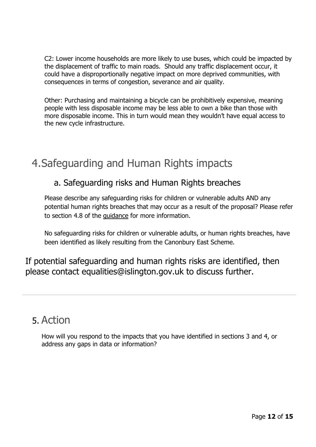C2: Lower income households are more likely to use buses, which could be impacted by the displacement of traffic to main roads. Should any traffic displacement occur, it could have a disproportionally negative impact on more deprived communities, with consequences in terms of congestion, severance and air quality.

Other: Purchasing and maintaining a bicycle can be prohibitively expensive, meaning people with less disposable income may be less able to own a bike than those with more disposable income. This in turn would mean they wouldn't have equal access to the new cycle infrastructure.

# 4.Safeguarding and Human Rights impacts

## a. Safeguarding risks and Human Rights breaches

Please describe any safeguarding risks for children or vulnerable adults AND any potential human rights breaches that may occur as a result of the proposal? Please refer to section 4.8 of the [guidance](http://sp.izzi/published/Records/Community%20and%20living/Information/Guidance/2015-2016/(2015-05-18)%20RIA%20Guidance.pdf) for more information.

No safeguarding risks for children or vulnerable adults, or human rights breaches, have been identified as likely resulting from the Canonbury East Scheme.

If potential safeguarding and human rights risks are identified, then please contact equalities@islington.gov.uk to discuss further.

# 5. Action

How will you respond to the impacts that you have identified in sections 3 and 4, or address any gaps in data or information?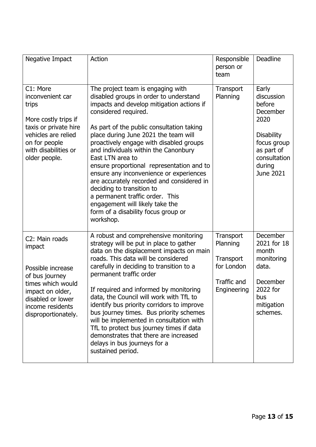| Negative Impact                                                                                                                                                          | Action                                                                                                                                                                                                                                                                                                                                                                                                                                                                                                                                                                                                                                   | Responsible<br>person or<br>team                                               | <b>Deadline</b>                                                                                                                            |
|--------------------------------------------------------------------------------------------------------------------------------------------------------------------------|------------------------------------------------------------------------------------------------------------------------------------------------------------------------------------------------------------------------------------------------------------------------------------------------------------------------------------------------------------------------------------------------------------------------------------------------------------------------------------------------------------------------------------------------------------------------------------------------------------------------------------------|--------------------------------------------------------------------------------|--------------------------------------------------------------------------------------------------------------------------------------------|
| C1: More<br>inconvenient car<br>trips<br>More costly trips if<br>taxis or private hire<br>vehicles are relied<br>on for people<br>with disabilities or<br>older people.  | The project team is engaging with<br>disabled groups in order to understand<br>impacts and develop mitigation actions if<br>considered required.<br>As part of the public consultation taking<br>place during June 2021 the team will<br>proactively engage with disabled groups<br>and individuals within the Canonbury<br>East LTN area to<br>ensure proportional representation and to<br>ensure any inconvenience or experiences<br>are accurately recorded and considered in<br>deciding to transition to<br>a permanent traffic order. This<br>engagement will likely take the<br>form of a disability focus group or<br>workshop. | Transport<br>Planning                                                          | Early<br>discussion<br>before<br>December<br>2020<br><b>Disability</b><br>focus group<br>as part of<br>consultation<br>during<br>June 2021 |
| C2: Main roads<br>impact<br>Possible increase<br>of bus journey<br>times which would<br>impact on older,<br>disabled or lower<br>income residents<br>disproportionately. | A robust and comprehensive monitoring<br>strategy will be put in place to gather<br>data on the displacement impacts on main<br>roads. This data will be considered<br>carefully in deciding to transition to a<br>permanent traffic order<br>If required and informed by monitoring<br>data, the Council will work with TfL to<br>identify bus priority corridors to improve<br>bus journey times. Bus priority schemes<br>will be implemented in consultation with<br>TfL to protect bus journey times if data<br>demonstrates that there are increased<br>delays in bus journeys for a<br>sustained period.                           | Transport<br>Planning<br>Transport<br>for London<br>Traffic and<br>Engineering | <b>December</b><br>2021 for 18<br>month<br>monitoring<br>data.<br>December<br>2022 for<br>bus<br>mitigation<br>schemes.                    |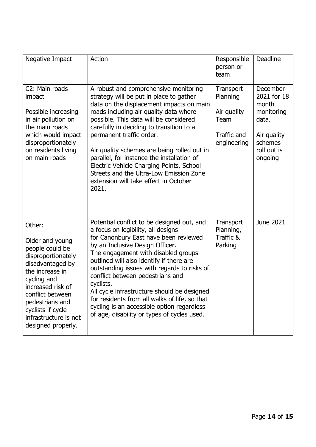| Negative Impact                                                                                                                                                                                                                                          | Action                                                                                                                                                                                                                                                                                                                                                                                                                                                                                                                                       | Responsible<br>person or<br>team                                           | Deadline                                                                                                           |
|----------------------------------------------------------------------------------------------------------------------------------------------------------------------------------------------------------------------------------------------------------|----------------------------------------------------------------------------------------------------------------------------------------------------------------------------------------------------------------------------------------------------------------------------------------------------------------------------------------------------------------------------------------------------------------------------------------------------------------------------------------------------------------------------------------------|----------------------------------------------------------------------------|--------------------------------------------------------------------------------------------------------------------|
| C2: Main roads<br>impact<br>Possible increasing<br>in air pollution on<br>the main roads<br>which would impact<br>disproportionately<br>on residents living<br>on main roads                                                                             | A robust and comprehensive monitoring<br>strategy will be put in place to gather<br>data on the displacement impacts on main<br>roads including air quality data where<br>possible. This data will be considered<br>carefully in deciding to transition to a<br>permanent traffic order.<br>Air quality schemes are being rolled out in<br>parallel, for instance the installation of<br>Electric Vehicle Charging Points, School<br>Streets and the Ultra-Low Emission Zone<br>extension will take effect in October<br>2021.               | Transport<br>Planning<br>Air quality<br>Team<br>Traffic and<br>engineering | <b>December</b><br>2021 for 18<br>month<br>monitoring<br>data.<br>Air quality<br>schemes<br>roll out is<br>ongoing |
| Other:<br>Older and young<br>people could be<br>disproportionately<br>disadvantaged by<br>the increase in<br>cycling and<br>increased risk of<br>conflict between<br>pedestrians and<br>cyclists if cycle<br>infrastructure is not<br>designed properly. | Potential conflict to be designed out, and<br>a focus on legibility, all designs<br>for Canonbury East have been reviewed<br>by an Inclusive Design Officer.<br>The engagement with disabled groups<br>outlined will also identify if there are<br>outstanding issues with regards to risks of<br>conflict between pedestrians and<br>cyclists.<br>All cycle infrastructure should be designed<br>for residents from all walks of life, so that<br>cycling is an accessible option regardless<br>of age, disability or types of cycles used. | Transport<br>Planning,<br>Traffic &<br>Parking                             | June 2021                                                                                                          |